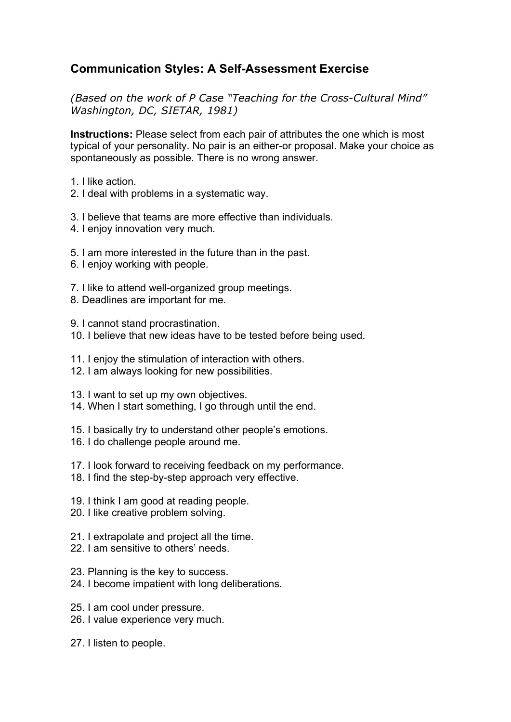## **Communication Styles: A Self-Assessment Exercise**

*(Based on the work of P Case "Teaching for the Cross-Cultural Mind" Washington, DC, SIETAR, 1981)*

**Instructions:** Please select from each pair of attributes the one which is most typical of your personality. No pair is an either-or proposal. Make your choice as spontaneously as possible. There is no wrong answer.

- 1. I like action.
- 2. I deal with problems in a systematic way.
- 3. I believe that teams are more effective than individuals.
- 4. I enjoy innovation very much.
- 5. I am more interested in the future than in the past.
- 6. I enjoy working with people.
- 7. I like to attend well-organized group meetings.
- 8. Deadlines are important for me.
- 9. I cannot stand procrastination.
- 10. I believe that new ideas have to be tested before being used.
- 11. I enjoy the stimulation of interaction with others.
- 12. I am always looking for new possibilities.
- 13. I want to set up my own objectives.
- 14. When I start something, I go through until the end.
- 15. I basically try to understand other people's emotions.
- 16. I do challenge people around me.
- 17. I look forward to receiving feedback on my performance.
- 18. I find the step-by-step approach very effective.
- 19. I think I am good at reading people.
- 20. I like creative problem solving.
- 21. I extrapolate and project all the time.
- 22. I am sensitive to others' needs.
- 23. Planning is the key to success.
- 24. I become impatient with long deliberations.
- 25. I am cool under pressure.
- 26. I value experience very much.
- 27. I listen to people.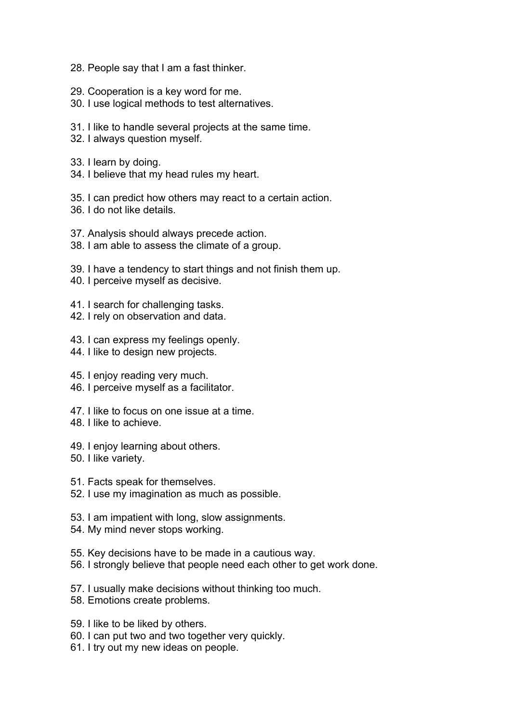- 28. People say that I am a fast thinker.
- 29. Cooperation is a key word for me.
- 30. I use logical methods to test alternatives.
- 31. I like to handle several projects at the same time.
- 32. I always question myself.
- 33. I learn by doing.
- 34. I believe that my head rules my heart.
- 35. I can predict how others may react to a certain action.
- 36. I do not like details.
- 37. Analysis should always precede action.
- 38. I am able to assess the climate of a group.
- 39. I have a tendency to start things and not finish them up.
- 40. I perceive myself as decisive.
- 41. I search for challenging tasks.
- 42. I rely on observation and data.
- 43. I can express my feelings openly.
- 44. I like to design new projects.
- 45. I enjoy reading very much.
- 46. I perceive myself as a facilitator.
- 47. I like to focus on one issue at a time.
- 48. I like to achieve.
- 49. I enjoy learning about others.
- 50. I like variety.
- 51. Facts speak for themselves.
- 52. I use my imagination as much as possible.
- 53. I am impatient with long, slow assignments.
- 54. My mind never stops working.
- 55. Key decisions have to be made in a cautious way.
- 56. I strongly believe that people need each other to get work done.
- 57. I usually make decisions without thinking too much.
- 58. Emotions create problems.
- 59. I like to be liked by others.
- 60. I can put two and two together very quickly.
- 61. I try out my new ideas on people.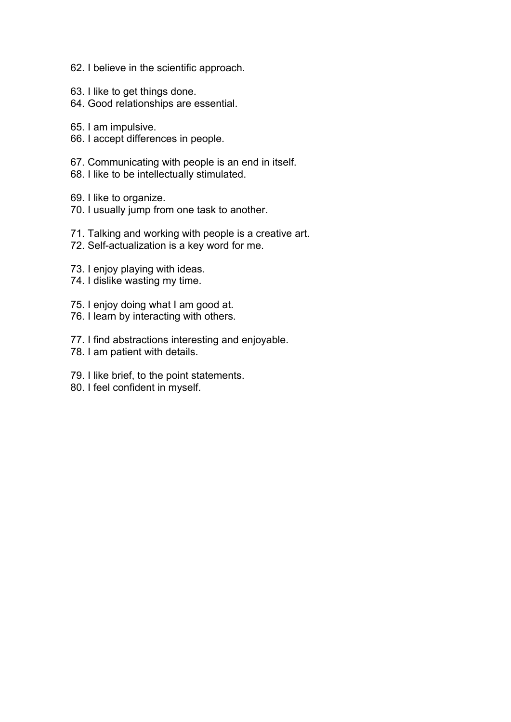- 62. I believe in the scientific approach.
- 63. I like to get things done.
- 64. Good relationships are essential.
- 65. I am impulsive.
- 66. I accept differences in people.
- 67. Communicating with people is an end in itself.
- 68. I like to be intellectually stimulated.
- 69. I like to organize.
- 70. I usually jump from one task to another.
- 71. Talking and working with people is a creative art.
- 72. Self-actualization is a key word for me.
- 73. I enjoy playing with ideas.
- 74. I dislike wasting my time.
- 75. I enjoy doing what I am good at.
- 76. I learn by interacting with others.
- 77. I find abstractions interesting and enjoyable.
- 78. I am patient with details.
- 79. I like brief, to the point statements.
- 80. I feel confident in myself.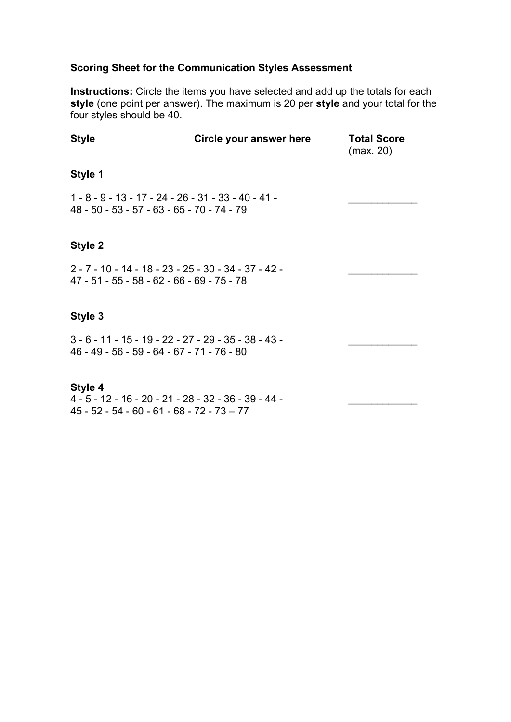### **Scoring Sheet for the Communication Styles Assessment**

**Instructions:** Circle the items you have selected and add up the totals for each **style** (one point per answer). The maximum is 20 per **style** and your total for the four styles should be 40.

| <b>Style</b>                                                                                         | Circle your answer here | <b>Total Score</b><br>(max. 20) |
|------------------------------------------------------------------------------------------------------|-------------------------|---------------------------------|
| Style 1                                                                                              |                         |                                 |
| 1 - 8 - 9 - 13 - 17 - 24 - 26 - 31 - 33 - 40 - 41 -<br>48 - 50 - 53 - 57 - 63 - 65 - 70 - 74 - 79    |                         |                                 |
| Style 2                                                                                              |                         |                                 |
| 2 - 7 - 10 - 14 - 18 - 23 - 25 - 30 - 34 - 37 - 42 -<br>47 - 51 - 55 - 58 - 62 - 66 - 69 - 75 - 78   |                         |                                 |
| Style 3                                                                                              |                         |                                 |
| $3 - 6 - 11 - 15 - 19 - 22 - 27 - 29 - 35 - 38 - 43 -$<br>46 - 49 - 56 - 59 - 64 - 67 - 71 - 76 - 80 |                         |                                 |
| Style 4                                                                                              |                         |                                 |

4 - 5 - 12 - 16 - 20 - 21 - 28 - 32 - 36 - 39 - 44 - \_\_\_\_\_\_\_\_\_\_\_\_ 45 - 52 - 54 - 60 - 61 - 68 - 72 - 73 – 77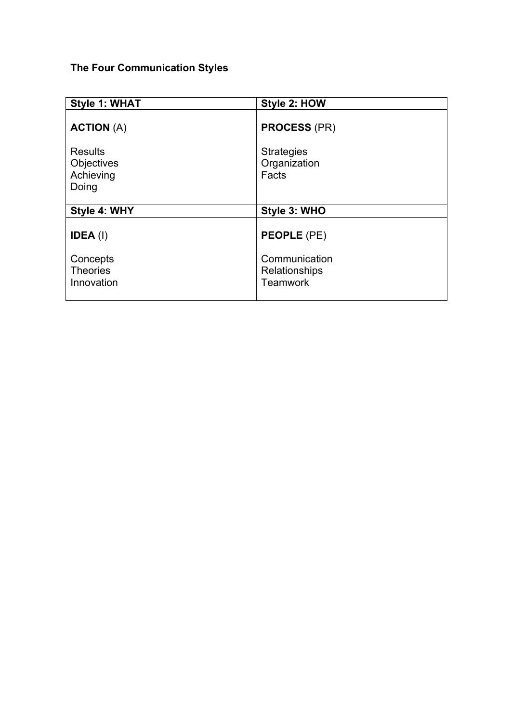## **The Four Communication Styles**

| Style 1: WHAT                                      | Style 2: HOW                                      |
|----------------------------------------------------|---------------------------------------------------|
| <b>ACTION (A)</b>                                  | <b>PROCESS (PR)</b>                               |
| <b>Results</b><br>Objectives<br>Achieving<br>Doing | <b>Strategies</b><br>Organization<br>Facts        |
| Style 4: WHY                                       | Style 3: WHO                                      |
| $IDEA$ (l)                                         | <b>PEOPLE (PE)</b>                                |
| Concepts<br><b>Theories</b><br>Innovation          | Communication<br>Relationships<br><b>Teamwork</b> |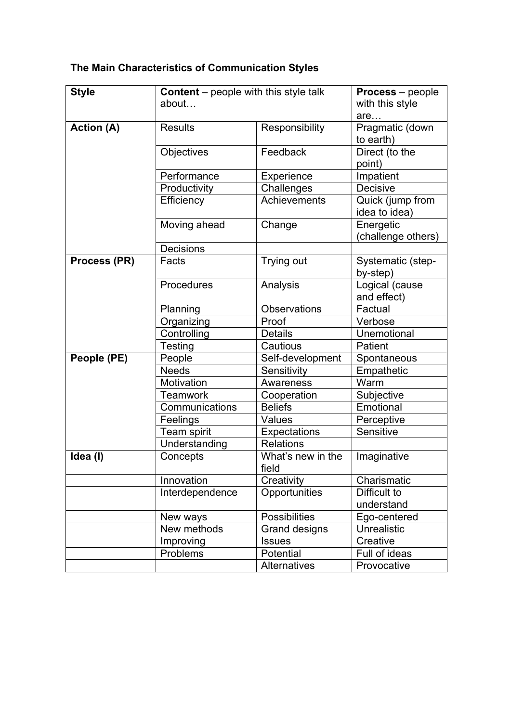# **The Main Characteristics of Communication Styles**

| <b>Style</b>      | <b>Content</b> – people with this style talk |                      | <b>Process</b> – people |
|-------------------|----------------------------------------------|----------------------|-------------------------|
|                   | about                                        |                      | with this style         |
|                   |                                              |                      | are                     |
| <b>Action (A)</b> | <b>Results</b>                               | Responsibility       | Pragmatic (down         |
|                   |                                              |                      | to earth)               |
|                   | Objectives                                   | Feedback             | Direct (to the          |
|                   |                                              |                      | point)                  |
|                   | Performance                                  | Experience           | Impatient               |
|                   | Productivity                                 | Challenges           | Decisive                |
|                   | Efficiency                                   | Achievements         | Quick (jump from        |
|                   |                                              |                      | idea to idea)           |
|                   | Moving ahead                                 | Change               | Energetic               |
|                   |                                              |                      | (challenge others)      |
|                   | Decisions                                    |                      |                         |
| Process (PR)      | Facts                                        | Trying out           | Systematic (step-       |
|                   |                                              |                      | by-step)                |
|                   | Procedures                                   | Analysis             | Logical (cause          |
|                   |                                              |                      | and effect)             |
|                   | Planning                                     | <b>Observations</b>  | Factual                 |
|                   | Organizing                                   | Proof                | Verbose                 |
|                   | Controlling                                  | <b>Details</b>       | Unemotional             |
|                   | Testing                                      | Cautious             | Patient                 |
| People (PE)       | People                                       | Self-development     | Spontaneous             |
|                   | <b>Needs</b>                                 | Sensitivity          | Empathetic              |
|                   | Motivation                                   | Awareness            | Warm                    |
|                   | Teamwork                                     | Cooperation          | Subjective              |
|                   | Communications                               | <b>Beliefs</b>       | Emotional               |
|                   | Feelings                                     | <b>Values</b>        | Perceptive              |
|                   | Team spirit                                  | <b>Expectations</b>  | Sensitive               |
|                   | Understanding                                | <b>Relations</b>     |                         |
| Idea (I)          | Concepts                                     | What's new in the    | Imaginative             |
|                   |                                              | field                |                         |
|                   | Innovation                                   | Creativity           | Charismatic             |
|                   | Interdependence                              | Opportunities        | Difficult to            |
|                   |                                              |                      | understand              |
|                   | New ways                                     | <b>Possibilities</b> | Ego-centered            |
|                   | New methods                                  | Grand designs        | <b>Unrealistic</b>      |
|                   | Improving                                    | <b>Issues</b>        | Creative                |
|                   | Problems                                     | Potential            | Full of ideas           |
|                   |                                              | Alternatives         | Provocative             |